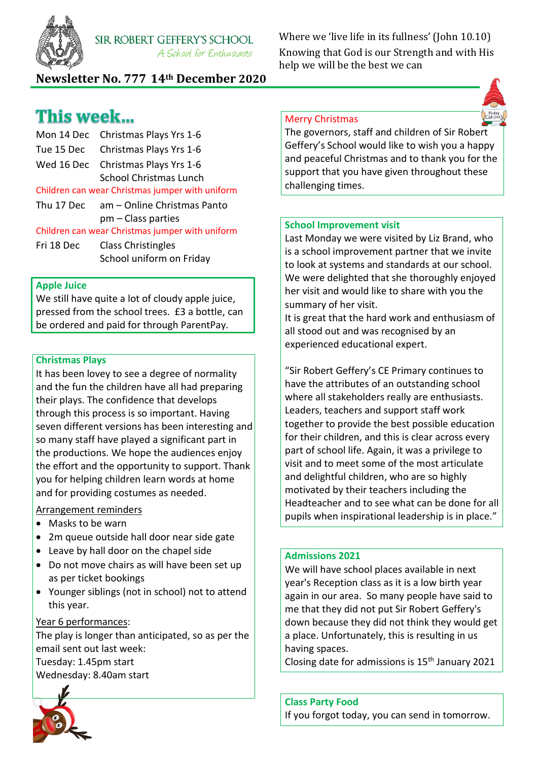

Where we 'live life in its fullness' (John 10.10) Knowing that God is our Strength and with His help we will be the best we can

## **Newsletter No. 777 14th December 2020**

# This week...

Mon 14 Dec Christmas Plays Yrs 1-6 Tue 15 Dec Christmas Plays Yrs 1-6 Wed 16 Dec Christmas Plays Yrs 1-6 School Christmas Lunch Children can wear Christmas jumper with uniform Thu 17 Dec am – Online Christmas Panto pm – Class parties Children can wear Christmas jumper with uniform Fri 18 Dec Class Christingles School uniform on Friday

### **Apple Juice**

We still have quite a lot of cloudy apple juice, pressed from the school trees. £3 a bottle, can be ordered and paid for through ParentPay.

#### **Christmas Plays**

It has been lovey to see a degree of normality and the fun the children have all had preparing their plays. The confidence that develops through this process is so important. Having seven different versions has been interesting and so many staff have played a significant part in the productions. We hope the audiences enjoy the effort and the opportunity to support. Thank you for helping children learn words at home and for providing costumes as needed.

## Arrangement reminders

- Masks to be warn
- 2m queue outside hall door near side gate
- Leave by hall door on the chapel side
- Do not move chairs as will have been set up as per ticket bookings
- Younger siblings (not in school) not to attend this year.

## Year 6 performances:

The play is longer than anticipated, so as per the email sent out last week: Tuesday: 1.45pm start Wednesday: 8.40am start



#### Merry Christmas

The governors, staff and children of Sir Robert Geffery's School would like to wish you a happy and peaceful Christmas and to thank you for the support that you have given throughout these challenging times.

#### **School Improvement visit**

Last Monday we were visited by Liz Brand, who is a school improvement partner that we invite to look at systems and standards at our school. We were delighted that she thoroughly enjoyed her visit and would like to share with you the summary of her visit.

It is great that the hard work and enthusiasm of all stood out and was recognised by an experienced educational expert.

"Sir Robert Geffery's CE Primary continues to have the attributes of an outstanding school where all stakeholders really are enthusiasts. Leaders, teachers and support staff work together to provide the best possible education for their children, and this is clear across every part of school life. Again, it was a privilege to visit and to meet some of the most articulate and delightful children, who are so highly motivated by their teachers including the Headteacher and to see what can be done for all pupils when inspirational leadership is in place."

#### **Admissions 2021**

We will have school places available in next year's Reception class as it is a low birth year again in our area. So many people have said to me that they did not put Sir Robert Geffery's down because they did not think they would get a place. Unfortunately, this is resulting in us having spaces.

Closing date for admissions is 15th January 2021

**Class Party Food**

If you forgot today, you can send in tomorrow.